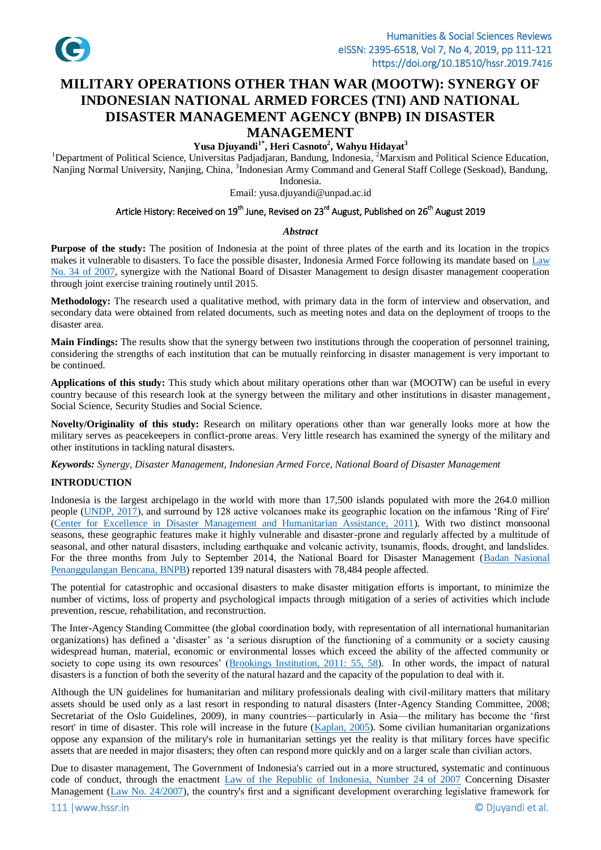

# **MILITARY OPERATIONS OTHER THAN WAR (MOOTW): SYNERGY OF INDONESIAN NATIONAL ARMED FORCES (TNI) AND NATIONAL DISASTER MANAGEMENT AGENCY (BNPB) IN DISASTER MANAGEMENT**

# **Yusa Djuyandi1\* , Heri Casnoto 2 , Wahyu Hidayat<sup>3</sup>**

<sup>1</sup>Department of Political Science, Universitas Padjadjaran, Bandung, Indonesia, <sup>2</sup>Marxism and Political Science Education, Nanjing Normal University, Nanjing, China, <sup>3</sup>Indonesian Army Command and General Staff College (Seskoad), Bandung, Indonesia.

Email: yusa.djuyandi@unpad.ac.id

### Article History: Received on 19<sup>th</sup> June, Revised on 23<sup>rd</sup> August, Published on 26<sup>th</sup> August 2019

#### *Abstract*

**Purpose of the study:** The position of Indonesia at the point of three plates of the earth and its location in the tropics makes it vulnerable to disasters. To face the possible disaster, Indonesia Armed Force following its mandate based on [Law](#page-10-0)  [No. 34 of](#page-10-0) 2007, synergize with the National Board of Disaster Management to design disaster management cooperation through joint exercise training routinely until 2015.

**Methodology:** The research used a qualitative method, with primary data in the form of interview and observation, and secondary data were obtained from related documents, such as meeting notes and data on the deployment of troops to the disaster area.

**Main Findings:** The results show that the synergy between two institutions through the cooperation of personnel training, considering the strengths of each institution that can be mutually reinforcing in disaster management is very important to be continued.

**Applications of this study:** This study which about military operations other than war (MOOTW) can be useful in every country because of this research look at the synergy between the military and other institutions in disaster management, Social Science, Security Studies and Social Science.

**Novelty/Originality of this study:** Research on military operations other than war generally looks more at how the military serves as peacekeepers in conflict-prone areas. Very little research has examined the synergy of the military and other institutions in tackling natural disasters.

*Keywords: Synergy, Disaster Management, Indonesian Armed Force, National Board of Disaster Management*

### **INTRODUCTION**

Indonesia is the largest archipelago in the world with more than 17,500 islands populated with more the 264.0 million people [\(UNDP, 2017\)](#page-10-1), and surround by 128 active volcanoes make its geographic location on the infamous 'Ring of Fire' (Center [for Excellence in Disaster Management and Humanitarian Assistance, 2011\)](#page-9-0). With two distinct monsoonal seasons, these geographic features make it highly vulnerable and disaster-prone and regularly affected by a multitude of seasonal, and other natural disasters, including earthquake and volcanic activity, tsunamis, floods, drought, and landslides. For the three months from July to September 2014, the National Board for Disaster Management (Badan [Nasional](#page-9-1) Penanggulangan [Bencana, BNPB\)](#page-9-1) reported 139 natural disasters with 78,484 people affected.

The potential for catastrophic and occasional disasters to make disaster mitigation efforts is important, to minimize the number of victims, loss of property and psychological impacts through mitigation of a series of activities which include prevention, rescue, rehabilitation, and reconstruction.

The Inter-Agency Standing Committee (the global coordination body, with representation of all international humanitarian organizations) has defined a 'disaster' as 'a serious disruption of the functioning of a community or a society causing widespread human, material, economic or environmental losses which exceed the ability of the affected community or society to cope using its own resources' [\(Brookings Institution, 2011: 55, 58\)](#page-9-2). In other words, the impact of natural disasters is a function of both the severity of the natural hazard and the capacity of the population to deal with it.

Although the UN guidelines for humanitarian and military professionals dealing with civil-military matters that military assets should be used only as a last resort in responding to natural disasters (Inter-Agency Standing Committee, 2008; Secretariat of the Oslo Guidelines, 2009), in many countries—particularly in Asia—the military has become the 'first resort' in time of disaster. This role will increase in the future [\(Kaplan, 2005\)](#page-10-2). Some civilian humanitarian organizations oppose any expansion of the military's role in humanitarian settings yet the reality is that military forces have specific assets that are needed in major disasters; they often can respond more quickly and on a larger scale than civilian actors.

Due to disaster management, The Government of Indonesia's carried out in a more structured, systematic and continuous code of conduct, through the enactment [Law of the Republic of Indonesia, Number 24 of 2007](#page-10-0) Concerning Disaster Management [\(Law No. 24/2007\)](#page-10-0), the country's first and a significant development overarching legislative framework for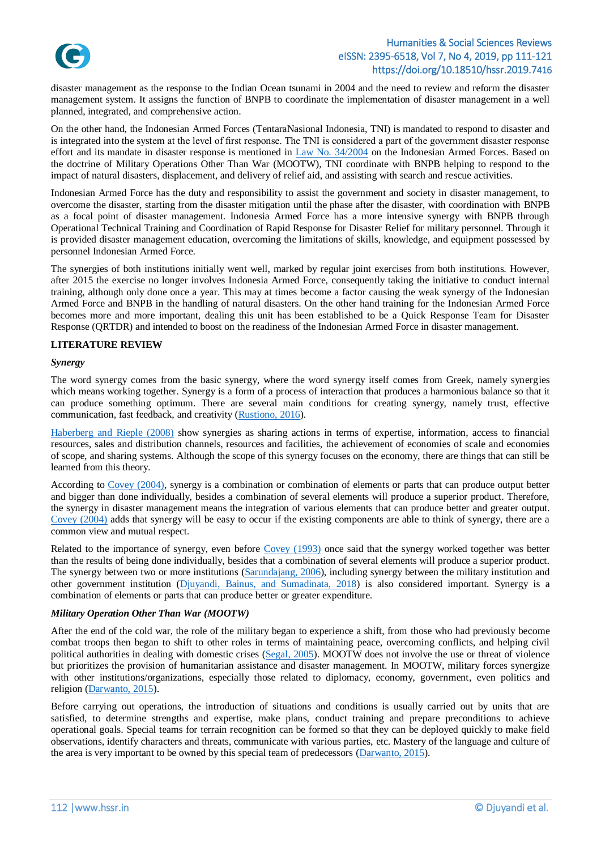

disaster management as the response to the Indian Ocean tsunami in 2004 and the need to review and reform the disaster management system. It assigns the function of BNPB to coordinate the implementation of disaster management in a well planned, integrated, and comprehensive action.

On the other hand, the Indonesian Armed Forces (TentaraNasional Indonesia, TNI) is mandated to respond to disaster and is integrated into the system at the level of first response. The TNI is considered a part of the government disaster response effort and its mandate in disaster response is mentioned in [Law No. 34/2004](#page-10-3) on the Indonesian Armed Forces. Based on the doctrine of Military Operations Other Than War (MOOTW), TNI coordinate with BNPB helping to respond to the impact of natural disasters, displacement, and delivery of relief aid, and assisting with search and rescue activities.

Indonesian Armed Force has the duty and responsibility to assist the government and society in disaster management, to overcome the disaster, starting from the disaster mitigation until the phase after the disaster, with coordination with BNPB as a focal point of disaster management. Indonesia Armed Force has a more intensive synergy with BNPB through Operational Technical Training and Coordination of Rapid Response for Disaster Relief for military personnel. Through it is provided disaster management education, overcoming the limitations of skills, knowledge, and equipment possessed by personnel Indonesian Armed Force.

The synergies of both institutions initially went well, marked by regular joint exercises from both institutions. However, after 2015 the exercise no longer involves Indonesia Armed Force, consequently taking the initiative to conduct internal training, although only done once a year. This may at times become a factor causing the weak synergy of the Indonesian Armed Force and BNPB in the handling of natural disasters. On the other hand training for the Indonesian Armed Force becomes more and more important, dealing this unit has been established to be a Quick Response Team for Disaster Response (QRTDR) and intended to boost on the readiness of the Indonesian Armed Force in disaster management.

### **LITERATURE REVIEW**

#### *Synergy*

The word synergy comes from the basic synergy, where the word synergy itself comes from Greek, namely synergies which means working together. Synergy is a form of a process of interaction that produces a harmonious balance so that it can produce something optimum. There are several main conditions for creating synergy, namely trust, effective communication, fast feedback, and creativity [\(Rustiono, 2016\)](#page-10-4).

[Haberberg and Rieple \(2008\)](#page-10-5) show synergies as sharing actions in terms of expertise, information, access to financial resources, sales and distribution channels, resources and facilities, the achievement of economies of scale and economies of scope, and sharing systems. Although the scope of this synergy focuses on the economy, there are things that can still be learned from this theory.

According to [Covey \(2004\),](#page-9-3) synergy is a combination or combination of elements or parts that can produce output better and bigger than done individually, besides a combination of several elements will produce a superior product. Therefore, the synergy in disaster management means the integration of various elements that can produce better and greater output. [Covey \(2004\)](#page-9-3) adds that synergy will be easy to occur if the existing components are able to think of synergy, there are a common view and mutual respect.

Related to the importance of synergy, even before [Covey \(1993\)](#page-9-4) once said that the synergy worked together was better than the results of being done individually, besides that a combination of several elements will produce a superior product. The synergy between two or more institutions [\(Sarundajang,](#page-10-6) 2006), including synergy between the military institution and other government institution (Djuyandi, [Bainus, and Sumadinata, 2018\)](#page-9-5) is also considered important. Synergy is a combination of elements or parts that can produce better or greater expenditure.

#### *Military Operation Other Than War (MOOTW)*

After the end of the cold war, the role of the military began to experience a shift, from those who had previously become combat troops then began to shift to other roles in terms of maintaining peace, overcoming conflicts, and helping civil political authorities in dealing with domestic crises [\(Segal, 2005\)](#page-10-7). MOOTW does not involve the use or threat of violence but prioritizes the provision of humanitarian assistance and disaster management. In MOOTW, military forces synergize with other institutions/organizations, especially those related to diplomacy, economy, government, even politics and religion [\(Darwanto, 2015\)](#page-9-6).

Before carrying out operations, the introduction of situations and conditions is usually carried out by units that are satisfied, to determine strengths and expertise, make plans, conduct training and prepare preconditions to achieve operational goals. Special teams for terrain recognition can be formed so that they can be deployed quickly to make field observations, identify characters and threats, communicate with various parties, etc. Mastery of the language and culture of the area is very important to be owned by this special team of predecessors [\(Darwanto, 2015\)](#page-9-6).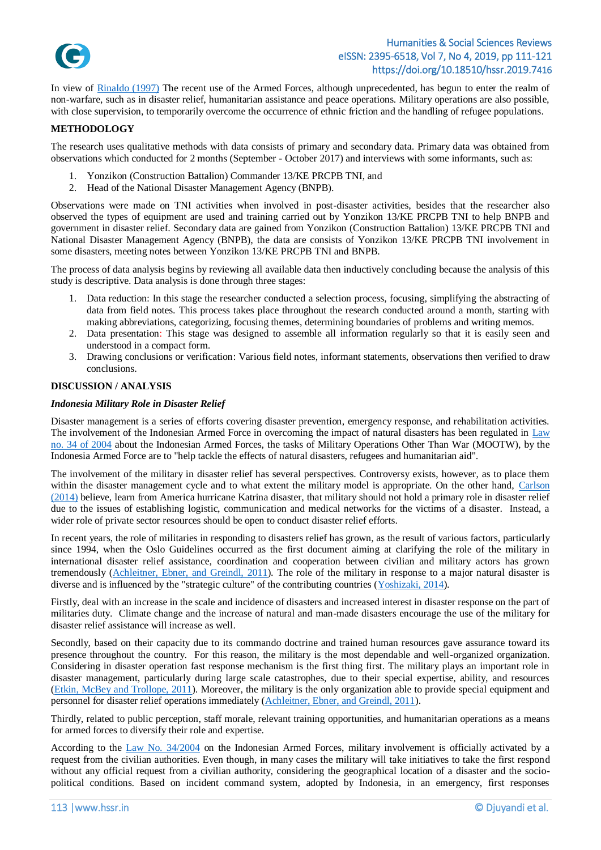

In view of [Rinaldo \(1997\)](#page-10-8) The recent use of the Armed Forces, although unprecedented, has begun to enter the realm of non-warfare, such as in disaster relief, humanitarian assistance and peace operations. Military operations are also possible, with close supervision, to temporarily overcome the occurrence of ethnic friction and the handling of refugee populations.

### **METHODOLOGY**

The research uses qualitative methods with data consists of primary and secondary data. Primary data was obtained from observations which conducted for 2 months (September - October 2017) and interviews with some informants, such as:

- 1. Yonzikon (Construction Battalion) Commander 13/KE PRCPB TNI, and
- 2. Head of the National Disaster Management Agency (BNPB).

Observations were made on TNI activities when involved in post-disaster activities, besides that the researcher also observed the types of equipment are used and training carried out by Yonzikon 13/KE PRCPB TNI to help BNPB and government in disaster relief. Secondary data are gained from Yonzikon (Construction Battalion) 13/KE PRCPB TNI and National Disaster Management Agency (BNPB), the data are consists of Yonzikon 13/KE PRCPB TNI involvement in some disasters, meeting notes between Yonzikon 13/KE PRCPB TNI and BNPB.

The process of data analysis begins by reviewing all available data then inductively concluding because the analysis of this study is descriptive. Data analysis is done through three stages:

- 1. Data reduction: In this stage the researcher conducted a selection process, focusing, simplifying the abstracting of data from field notes. This process takes place throughout the research conducted around a month, starting with making abbreviations, categorizing, focusing themes, determining boundaries of problems and writing memos.
- 2. Data presentation: This stage was designed to assemble all information regularly so that it is easily seen and understood in a compact form.
- 3. Drawing conclusions or verification: Various field notes, informant statements, observations then verified to draw conclusions.

### **DISCUSSION / ANALYSIS**

#### *Indonesia Military Role in Disaster Relief*

Disaster management is a series of efforts covering disaster prevention, emergency response, and rehabilitation activities. The involvement of the Indonesian Armed Force in overcoming the impact of natural disasters has been regulated in [Law](#page-10-3)  [no. 34 of 2004](#page-10-3) about the Indonesian Armed Forces, the tasks of Military Operations Other Than War (MOOTW), by the Indonesia Armed Force are to "help tackle the effects of natural disasters, refugees and humanitarian aid".

The involvement of the military in disaster relief has several perspectives. Controversy exists, however, as to place them within the disaster management cycle and to what extent the military model is appropriate. On the other hand, [Carlson](#page-9-7)  [\(2014\)](#page-9-7) believe, learn from America hurricane Katrina disaster, that military should not hold a primary role in disaster relief due to the issues of establishing logistic, communication and medical networks for the victims of a disaster. Instead, a wider role of private sector resources should be open to conduct disaster relief efforts.

In recent years, the role of militaries in responding to disasters relief has grown, as the result of various factors, particularly since 1994, when the Oslo Guidelines occurred as the first document aiming at clarifying the role of the military in international disaster relief assistance, coordination and cooperation between civilian and military actors has grown tremendously [\(Achleitner, Ebner, and Greindl, 2011\)](#page-9-8). The role of the military in response to a major natural disaster is diverse and is influenced by the "strategic culture" of the contributing countries [\(Yoshizaki, 2014\)](#page-10-9).

Firstly, deal with an increase in the scale and incidence of disasters and increased interest in disaster response on the part of militaries duty. Climate change and the increase of natural and man-made disasters encourage the use of the military for disaster relief assistance will increase as well.

Secondly, based on their capacity due to its commando doctrine and trained human resources gave assurance toward its presence throughout the country. For this reason, the military is the most dependable and well-organized organization. Considering in disaster operation fast response mechanism is the first thing first. The military plays an important role in disaster management, particularly during large scale catastrophes, due to their special expertise, ability, and resources [\(Etkin, McBey and Trollope, 2011\)](#page-10-10). Moreover, the military is the only organization able to provide special equipment and personnel for disaster relief operations immediately [\(Achleitner, Ebner, and Greindl, 2011\)](#page-9-8).

Thirdly, related to public perception, staff morale, relevant training opportunities, and humanitarian operations as a means for armed forces to diversify their role and expertise.

According to the [Law No. 34/2004](#page-10-3) on the Indonesian Armed Forces, military involvement is officially activated by a request from the civilian authorities. Even though, in many cases the military will take initiatives to take the first respond without any official request from a civilian authority, considering the geographical location of a disaster and the sociopolitical conditions. Based on incident command system, adopted by Indonesia, in an emergency, first responses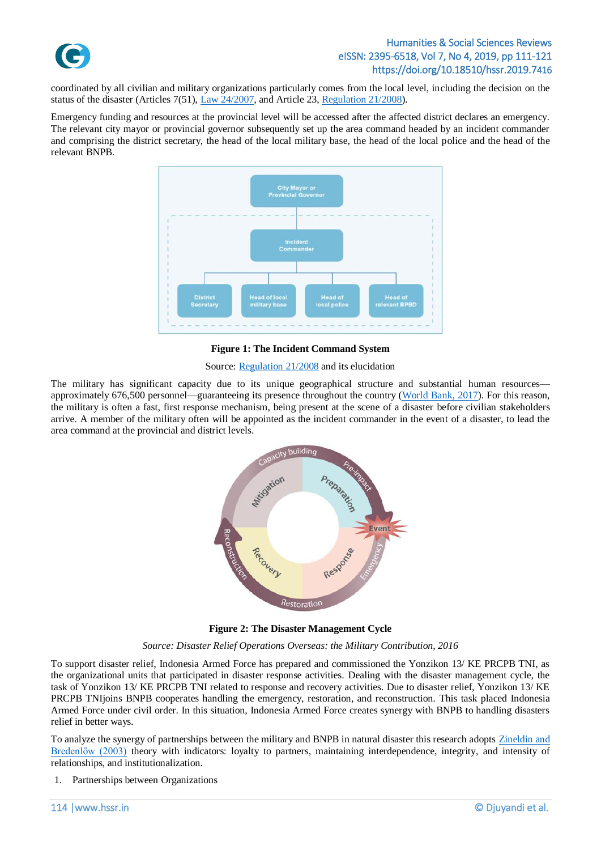

coordinated by all civilian and military organizations particularly comes from the local level, including the decision on the status of the disaster (Articles 7(51), [Law 24/2007,](#page-10-0) and Article 23[, Regulation 21/2008\)](#page-10-11).

Emergency funding and resources at the provincial level will be accessed after the affected district declares an emergency. The relevant city mayor or provincial governor subsequently set up the area command headed by an incident commander and comprising the district secretary, the head of the local military base, the head of the local police and the head of the relevant BNPB.



**Figure 1: The Incident Command System** 

Source: [Regulation 21/2008](#page-10-11) and its elucidation

The military has significant capacity due to its unique geographical structure and substantial human resources approximately 676,500 personnel—guaranteeing its presence throughout the country [\(World Bank, 2017\)](#page-10-12). For this reason, the military is often a fast, first response mechanism, being present at the scene of a disaster before civilian stakeholders arrive. A member of the military often will be appointed as the incident commander in the event of a disaster, to lead the area command at the provincial and district levels.



**Figure 2: The Disaster Management Cycle**

*Source: Disaster Relief Operations Overseas: the Military Contribution, 2016*

To support disaster relief, Indonesia Armed Force has prepared and commissioned the Yonzikon 13/ KE PRCPB TNI, as the organizational units that participated in disaster response activities. Dealing with the disaster management cycle, the task of Yonzikon 13/ KE PRCPB TNI related to response and recovery activities. Due to disaster relief, Yonzikon 13/ KE PRCPB TNIjoins BNPB cooperates handling the emergency, restoration, and reconstruction. This task placed Indonesia Armed Force under civil order. In this situation, Indonesia Armed Force creates synergy with BNPB to handling disasters relief in better ways.

To analyze the synergy of partnerships between the military and BNPB in natural disaster this research adopts [Zineldin and](#page-10-13)  [Bredenlőw \(2003\)](#page-10-13) theory with indicators: loyalty to partners, maintaining interdependence, integrity, and intensity of relationships, and institutionalization.

1. Partnerships between Organizations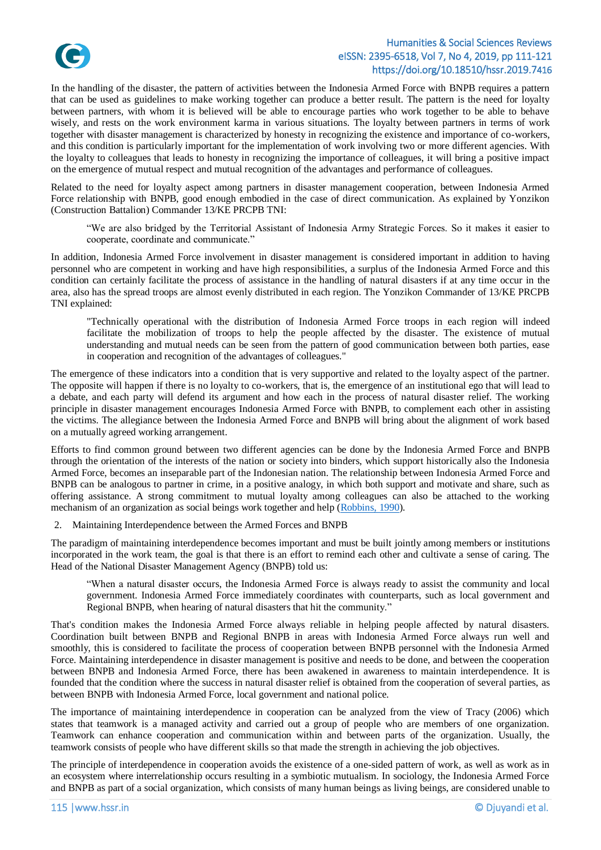

In the handling of the disaster, the pattern of activities between the Indonesia Armed Force with BNPB requires a pattern that can be used as guidelines to make working together can produce a better result. The pattern is the need for loyalty between partners, with whom it is believed will be able to encourage parties who work together to be able to behave wisely, and rests on the work environment karma in various situations. The loyalty between partners in terms of work together with disaster management is characterized by honesty in recognizing the existence and importance of co-workers, and this condition is particularly important for the implementation of work involving two or more different agencies. With the loyalty to colleagues that leads to honesty in recognizing the importance of colleagues, it will bring a positive impact on the emergence of mutual respect and mutual recognition of the advantages and performance of colleagues.

Related to the need for loyalty aspect among partners in disaster management cooperation, between Indonesia Armed Force relationship with BNPB, good enough embodied in the case of direct communication. As explained by Yonzikon (Construction Battalion) Commander 13/KE PRCPB TNI:

"We are also bridged by the Territorial Assistant of Indonesia Army Strategic Forces. So it makes it easier to cooperate, coordinate and communicate."

In addition, Indonesia Armed Force involvement in disaster management is considered important in addition to having personnel who are competent in working and have high responsibilities, a surplus of the Indonesia Armed Force and this condition can certainly facilitate the process of assistance in the handling of natural disasters if at any time occur in the area, also has the spread troops are almost evenly distributed in each region. The Yonzikon Commander of 13/KE PRCPB TNI explained:

"Technically operational with the distribution of Indonesia Armed Force troops in each region will indeed facilitate the mobilization of troops to help the people affected by the disaster. The existence of mutual understanding and mutual needs can be seen from the pattern of good communication between both parties, ease in cooperation and recognition of the advantages of colleagues."

The emergence of these indicators into a condition that is very supportive and related to the loyalty aspect of the partner. The opposite will happen if there is no loyalty to co-workers, that is, the emergence of an institutional ego that will lead to a debate, and each party will defend its argument and how each in the process of natural disaster relief. The working principle in disaster management encourages Indonesia Armed Force with BNPB, to complement each other in assisting the victims. The allegiance between the Indonesia Armed Force and BNPB will bring about the alignment of work based on a mutually agreed working arrangement.

Efforts to find common ground between two different agencies can be done by the Indonesia Armed Force and BNPB through the orientation of the interests of the nation or society into binders, which support historically also the Indonesia Armed Force, becomes an inseparable part of the Indonesian nation. The relationship between Indonesia Armed Force and BNPB can be analogous to partner in crime, in a positive analogy, in which both support and motivate and share, such as offering assistance. A strong commitment to mutual loyalty among colleagues can also be attached to the working mechanism of an organization as social beings work together and help [\(Robbins, 1990\)](#page-10-14).

2. Maintaining Interdependence between the Armed Forces and BNPB

The paradigm of maintaining interdependence becomes important and must be built jointly among members or institutions incorporated in the work team, the goal is that there is an effort to remind each other and cultivate a sense of caring. The Head of the National Disaster Management Agency (BNPB) told us:

"When a natural disaster occurs, the Indonesia Armed Force is always ready to assist the community and local government. Indonesia Armed Force immediately coordinates with counterparts, such as local government and Regional BNPB, when hearing of natural disasters that hit the community."

That's condition makes the Indonesia Armed Force always reliable in helping people affected by natural disasters. Coordination built between BNPB and Regional BNPB in areas with Indonesia Armed Force always run well and smoothly, this is considered to facilitate the process of cooperation between BNPB personnel with the Indonesia Armed Force. Maintaining interdependence in disaster management is positive and needs to be done, and between the cooperation between BNPB and Indonesia Armed Force, there has been awakened in awareness to maintain interdependence. It is founded that the condition where the success in natural disaster relief is obtained from the cooperation of several parties, as between BNPB with Indonesia Armed Force, local government and national police.

The importance of maintaining interdependence in cooperation can be analyzed from the view of Tracy (2006) which states that teamwork is a managed activity and carried out a group of people who are members of one organization. Teamwork can enhance cooperation and communication within and between parts of the organization. Usually, the teamwork consists of people who have different skills so that made the strength in achieving the job objectives.

The principle of interdependence in cooperation avoids the existence of a one-sided pattern of work, as well as work as in an ecosystem where interrelationship occurs resulting in a symbiotic mutualism. In sociology, the Indonesia Armed Force and BNPB as part of a social organization, which consists of many human beings as living beings, are considered unable to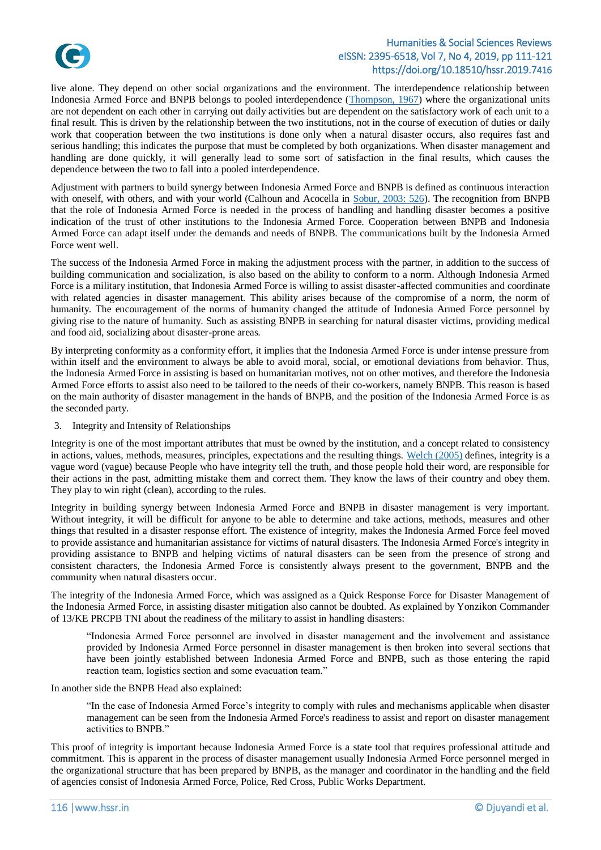

live alone. They depend on other social organizations and the environment. The interdependence relationship between Indonesia Armed Force and BNPB belongs to pooled interdependence [\(Thompson, 1967\)](#page-10-15) where the organizational units are not dependent on each other in carrying out daily activities but are dependent on the satisfactory work of each unit to a final result. This is driven by the relationship between the two institutions, not in the course of execution of duties or daily work that cooperation between the two institutions is done only when a natural disaster occurs, also requires fast and serious handling; this indicates the purpose that must be completed by both organizations. When disaster management and handling are done quickly, it will generally lead to some sort of satisfaction in the final results, which causes the dependence between the two to fall into a pooled interdependence.

Adjustment with partners to build synergy between Indonesia Armed Force and BNPB is defined as continuous interaction with oneself, with others, and with your world (Calhoun and Acocella in [Sobur, 2003: 526\)](#page-10-16). The recognition from BNPB that the role of Indonesia Armed Force is needed in the process of handling and handling disaster becomes a positive indication of the trust of other institutions to the Indonesia Armed Force. Cooperation between BNPB and Indonesia Armed Force can adapt itself under the demands and needs of BNPB. The communications built by the Indonesia Armed Force went well.

The success of the Indonesia Armed Force in making the adjustment process with the partner, in addition to the success of building communication and socialization, is also based on the ability to conform to a norm. Although Indonesia Armed Force is a military institution, that Indonesia Armed Force is willing to assist disaster-affected communities and coordinate with related agencies in disaster management. This ability arises because of the compromise of a norm, the norm of humanity. The encouragement of the norms of humanity changed the attitude of Indonesia Armed Force personnel by giving rise to the nature of humanity. Such as assisting BNPB in searching for natural disaster victims, providing medical and food aid, socializing about disaster-prone areas.

By interpreting conformity as a conformity effort, it implies that the Indonesia Armed Force is under intense pressure from within itself and the environment to always be able to avoid moral, social, or emotional deviations from behavior. Thus, the Indonesia Armed Force in assisting is based on humanitarian motives, not on other motives, and therefore the Indonesia Armed Force efforts to assist also need to be tailored to the needs of their co-workers, namely BNPB. This reason is based on the main authority of disaster management in the hands of BNPB, and the position of the Indonesia Armed Force is as the seconded party.

3. Integrity and Intensity of Relationships

Integrity is one of the most important attributes that must be owned by the institution, and a concept related to consistency in actions, values, methods, measures, principles, expectations and the resulting things. [Welch \(2005\)](#page-10-17) defines, integrity is a vague word (vague) because People who have integrity tell the truth, and those people hold their word, are responsible for their actions in the past, admitting mistake them and correct them. They know the laws of their country and obey them. They play to win right (clean), according to the rules.

Integrity in building synergy between Indonesia Armed Force and BNPB in disaster management is very important. Without integrity, it will be difficult for anyone to be able to determine and take actions, methods, measures and other things that resulted in a disaster response effort. The existence of integrity, makes the Indonesia Armed Force feel moved to provide assistance and humanitarian assistance for victims of natural disasters. The Indonesia Armed Force's integrity in providing assistance to BNPB and helping victims of natural disasters can be seen from the presence of strong and consistent characters, the Indonesia Armed Force is consistently always present to the government, BNPB and the community when natural disasters occur.

The integrity of the Indonesia Armed Force, which was assigned as a Quick Response Force for Disaster Management of the Indonesia Armed Force, in assisting disaster mitigation also cannot be doubted. As explained by Yonzikon Commander of 13/KE PRCPB TNI about the readiness of the military to assist in handling disasters:

"Indonesia Armed Force personnel are involved in disaster management and the involvement and assistance provided by Indonesia Armed Force personnel in disaster management is then broken into several sections that have been jointly established between Indonesia Armed Force and BNPB, such as those entering the rapid reaction team, logistics section and some evacuation team."

In another side the BNPB Head also explained:

"In the case of Indonesia Armed Force's integrity to comply with rules and mechanisms applicable when disaster management can be seen from the Indonesia Armed Force's readiness to assist and report on disaster management activities to BNPB."

This proof of integrity is important because Indonesia Armed Force is a state tool that requires professional attitude and commitment. This is apparent in the process of disaster management usually Indonesia Armed Force personnel merged in the organizational structure that has been prepared by BNPB, as the manager and coordinator in the handling and the field of agencies consist of Indonesia Armed Force, Police, Red Cross, Public Works Department.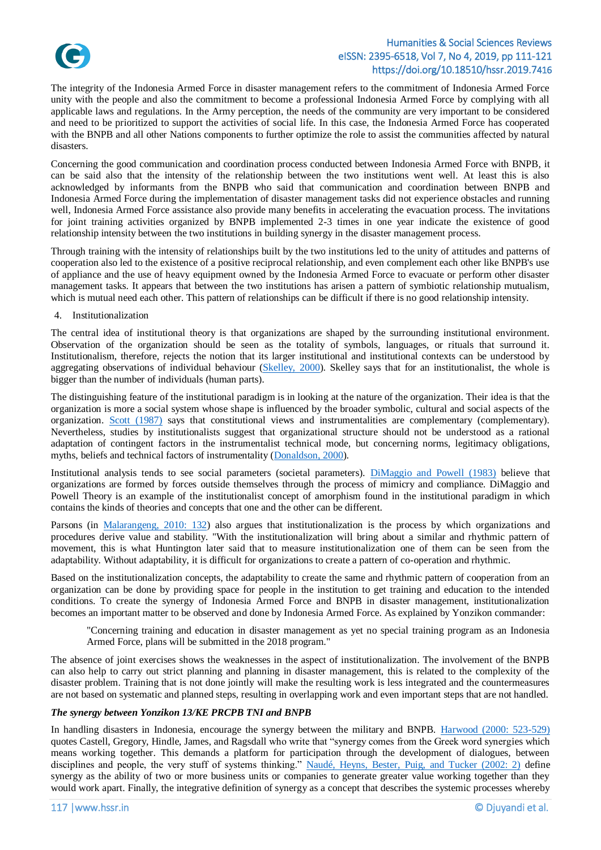

The integrity of the Indonesia Armed Force in disaster management refers to the commitment of Indonesia Armed Force unity with the people and also the commitment to become a professional Indonesia Armed Force by complying with all applicable laws and regulations. In the Army perception, the needs of the community are very important to be considered and need to be prioritized to support the activities of social life. In this case, the Indonesia Armed Force has cooperated with the BNPB and all other Nations components to further optimize the role to assist the communities affected by natural disasters.

Concerning the good communication and coordination process conducted between Indonesia Armed Force with BNPB, it can be said also that the intensity of the relationship between the two institutions went well. At least this is also acknowledged by informants from the BNPB who said that communication and coordination between BNPB and Indonesia Armed Force during the implementation of disaster management tasks did not experience obstacles and running well, Indonesia Armed Force assistance also provide many benefits in accelerating the evacuation process. The invitations for joint training activities organized by BNPB implemented 2-3 times in one year indicate the existence of good relationship intensity between the two institutions in building synergy in the disaster management process.

Through training with the intensity of relationships built by the two institutions led to the unity of attitudes and patterns of cooperation also led to the existence of a positive reciprocal relationship, and even complement each other like BNPB's use of appliance and the use of heavy equipment owned by the Indonesia Armed Force to evacuate or perform other disaster management tasks. It appears that between the two institutions has arisen a pattern of symbiotic relationship mutualism, which is mutual need each other. This pattern of relationships can be difficult if there is no good relationship intensity.

#### 4. Institutionalization

The central idea of institutional theory is that organizations are shaped by the surrounding institutional environment. Observation of the organization should be seen as the totality of symbols, languages, or rituals that surround it. Institutionalism, therefore, rejects the notion that its larger institutional and institutional contexts can be understood by aggregating observations of individual behaviour [\(Skelley, 2000\)](#page-10-18). Skelley says that for an institutionalist, the whole is bigger than the number of individuals (human parts).

The distinguishing feature of the institutional paradigm is in looking at the nature of the organization. Their idea is that the organization is more a social system whose shape is influenced by the broader symbolic, cultural and social aspects of the organization. [Scott \(1987\)](#page-10-19) says that constitutional views and instrumentalities are complementary (complementary). Nevertheless, studies by institutionalists suggest that organizational structure should not be understood as a rational adaptation of contingent factors in the instrumentalist technical mode, but concerning norms, legitimacy obligations, myths, beliefs and technical factors of instrumentality [\(Donaldson, 2000\)](#page-9-9).

Institutional analysis tends to see social parameters (societal parameters). [DiMaggio and Powell \(1983\)](#page-9-10) believe that organizations are formed by forces outside themselves through the process of mimicry and compliance. DiMaggio and Powell Theory is an example of the institutionalist concept of amorphism found in the institutional paradigm in which contains the kinds of theories and concepts that one and the other can be different.

Parsons (in [Malarangeng, 2010: 132\)](#page-10-20) also argues that institutionalization is the process by which organizations and procedures derive value and stability. "With the institutionalization will bring about a similar and rhythmic pattern of movement, this is what Huntington later said that to measure institutionalization one of them can be seen from the adaptability. Without adaptability, it is difficult for organizations to create a pattern of co-operation and rhythmic.

Based on the institutionalization concepts, the adaptability to create the same and rhythmic pattern of cooperation from an organization can be done by providing space for people in the institution to get training and education to the intended conditions. To create the synergy of Indonesia Armed Force and BNPB in disaster management, institutionalization becomes an important matter to be observed and done by Indonesia Armed Force. As explained by Yonzikon commander:

"Concerning training and education in disaster management as yet no special training program as an Indonesia Armed Force, plans will be submitted in the 2018 program."

The absence of joint exercises shows the weaknesses in the aspect of institutionalization. The involvement of the BNPB can also help to carry out strict planning and planning in disaster management, this is related to the complexity of the disaster problem. Training that is not done jointly will make the resulting work is less integrated and the countermeasures are not based on systematic and planned steps, resulting in overlapping work and even important steps that are not handled.

#### *The synergy between Yonzikon 13/KE PRCPB TNI and BNPB*

In handling disasters in Indonesia, encourage the synergy between the military and BNPB. [Harwood \(2000: 523-529\)](#page-10-21) quotes Castell, Gregory, Hindle, James, and Ragsdall who write that "synergy comes from the Greek word synergies which means working together. This demands a platform for participation through the development of dialogues, between disciplines and people, the very stuff of systems thinking." [Naudé, Heyns, Bester, Puig, and Tucker \(2002: 2\)](#page-10-22) define synergy as the ability of two or more business units or companies to generate greater value working together than they would work apart. Finally, the integrative definition of synergy as a concept that describes the systemic processes whereby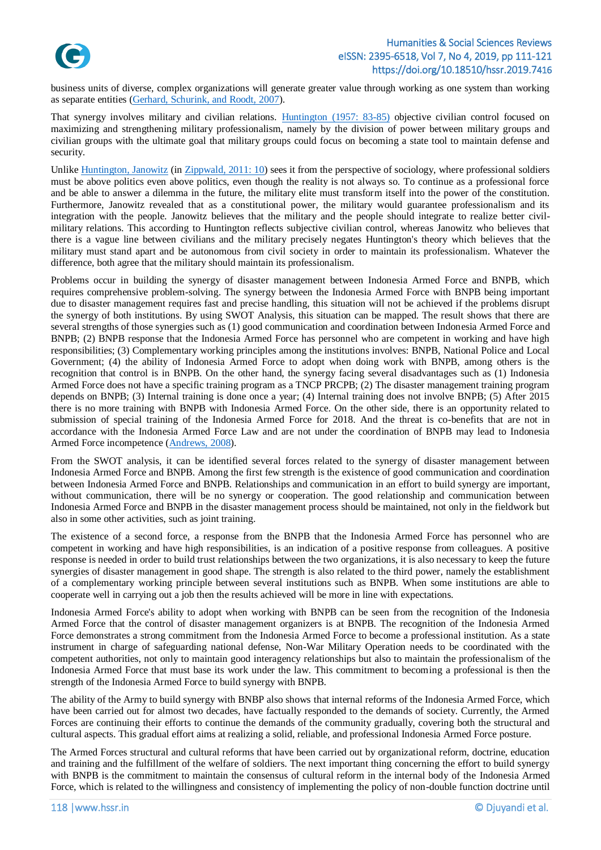

business units of diverse, complex organizations will generate greater value through working as one system than working as separate entities (Gerhard, [Schurink, and Roodt, 2007\)](#page-9-11).

That synergy involves military and civilian relations. [Huntington \(1957: 83-85\)](#page-10-23) objective civilian control focused on maximizing and strengthening military professionalism, namely by the division of power between military groups and civilian groups with the ultimate goal that military groups could focus on becoming a state tool to maintain defense and security.

Unlike [Huntington, Janowitz](#page-10-23) (in [Zippwald, 2011: 10\)](#page-10-24) sees it from the perspective of sociology, where professional soldiers must be above politics even above politics, even though the reality is not always so. To continue as a professional force and be able to answer a dilemma in the future, the military elite must transform itself into the power of the constitution. Furthermore, Janowitz revealed that as a constitutional power, the military would guarantee professionalism and its integration with the people. Janowitz believes that the military and the people should integrate to realize better civilmilitary relations. This according to Huntington reflects subjective civilian control, whereas Janowitz who believes that there is a vague line between civilians and the military precisely negates Huntington's theory which believes that the military must stand apart and be autonomous from civil society in order to maintain its professionalism. Whatever the difference, both agree that the military should maintain its professionalism.

Problems occur in building the synergy of disaster management between Indonesia Armed Force and BNPB, which requires comprehensive problem-solving. The synergy between the Indonesia Armed Force with BNPB being important due to disaster management requires fast and precise handling, this situation will not be achieved if the problems disrupt the synergy of both institutions. By using SWOT Analysis, this situation can be mapped. The result shows that there are several strengths of those synergies such as (1) good communication and coordination between Indonesia Armed Force and BNPB; (2) BNPB response that the Indonesia Armed Force has personnel who are competent in working and have high responsibilities; (3) Complementary working principles among the institutions involves: BNPB, National Police and Local Government; (4) the ability of Indonesia Armed Force to adopt when doing work with BNPB, among others is the recognition that control is in BNPB. On the other hand, the synergy facing several disadvantages such as (1) Indonesia Armed Force does not have a specific training program as a TNCP PRCPB; (2) The disaster management training program depends on BNPB; (3) Internal training is done once a year; (4) Internal training does not involve BNPB; (5) After 2015 there is no more training with BNPB with Indonesia Armed Force. On the other side, there is an opportunity related to submission of special training of the Indonesia Armed Force for 2018. And the threat is co-benefits that are not in accordance with the Indonesia Armed Force Law and are not under the coordination of BNPB may lead to Indonesia Armed Force incompetence [\(Andrews, 2008\)](#page-9-12).

From the SWOT analysis, it can be identified several forces related to the synergy of disaster management between Indonesia Armed Force and BNPB. Among the first few strength is the existence of good communication and coordination between Indonesia Armed Force and BNPB. Relationships and communication in an effort to build synergy are important, without communication, there will be no synergy or cooperation. The good relationship and communication between Indonesia Armed Force and BNPB in the disaster management process should be maintained, not only in the fieldwork but also in some other activities, such as joint training.

The existence of a second force, a response from the BNPB that the Indonesia Armed Force has personnel who are competent in working and have high responsibilities, is an indication of a positive response from colleagues. A positive response is needed in order to build trust relationships between the two organizations, it is also necessary to keep the future synergies of disaster management in good shape. The strength is also related to the third power, namely the establishment of a complementary working principle between several institutions such as BNPB. When some institutions are able to cooperate well in carrying out a job then the results achieved will be more in line with expectations.

Indonesia Armed Force's ability to adopt when working with BNPB can be seen from the recognition of the Indonesia Armed Force that the control of disaster management organizers is at BNPB. The recognition of the Indonesia Armed Force demonstrates a strong commitment from the Indonesia Armed Force to become a professional institution. As a state instrument in charge of safeguarding national defense, Non-War Military Operation needs to be coordinated with the competent authorities, not only to maintain good interagency relationships but also to maintain the professionalism of the Indonesia Armed Force that must base its work under the law. This commitment to becoming a professional is then the strength of the Indonesia Armed Force to build synergy with BNPB.

The ability of the Army to build synergy with BNBP also shows that internal reforms of the Indonesia Armed Force, which have been carried out for almost two decades, have factually responded to the demands of society. Currently, the Armed Forces are continuing their efforts to continue the demands of the community gradually, covering both the structural and cultural aspects. This gradual effort aims at realizing a solid, reliable, and professional Indonesia Armed Force posture.

The Armed Forces structural and cultural reforms that have been carried out by organizational reform, doctrine, education and training and the fulfillment of the welfare of soldiers. The next important thing concerning the effort to build synergy with BNPB is the commitment to maintain the consensus of cultural reform in the internal body of the Indonesia Armed Force, which is related to the willingness and consistency of implementing the policy of non-double function doctrine until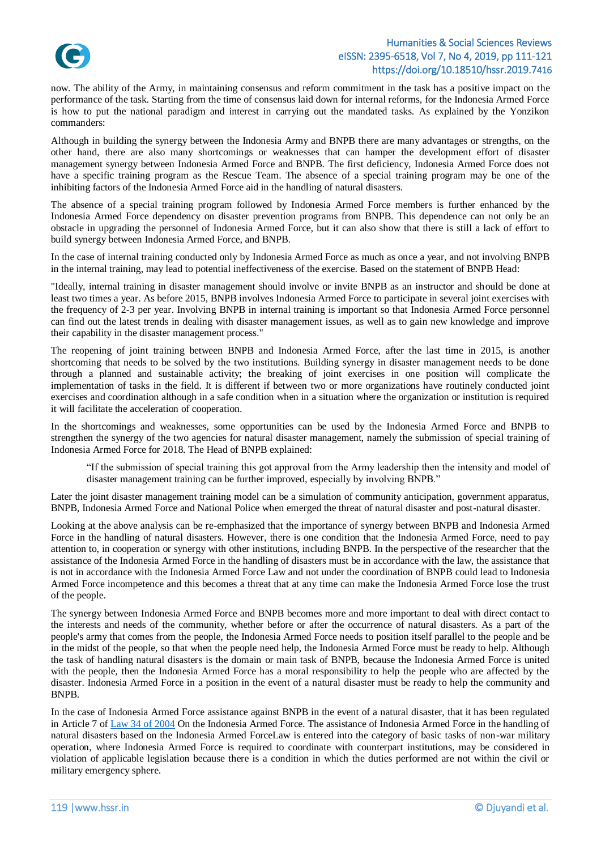

now. The ability of the Army, in maintaining consensus and reform commitment in the task has a positive impact on the performance of the task. Starting from the time of consensus laid down for internal reforms, for the Indonesia Armed Force is how to put the national paradigm and interest in carrying out the mandated tasks. As explained by the Yonzikon commanders:

Although in building the synergy between the Indonesia Army and BNPB there are many advantages or strengths, on the other hand, there are also many shortcomings or weaknesses that can hamper the development effort of disaster management synergy between Indonesia Armed Force and BNPB. The first deficiency, Indonesia Armed Force does not have a specific training program as the Rescue Team. The absence of a special training program may be one of the inhibiting factors of the Indonesia Armed Force aid in the handling of natural disasters.

The absence of a special training program followed by Indonesia Armed Force members is further enhanced by the Indonesia Armed Force dependency on disaster prevention programs from BNPB. This dependence can not only be an obstacle in upgrading the personnel of Indonesia Armed Force, but it can also show that there is still a lack of effort to build synergy between Indonesia Armed Force, and BNPB.

In the case of internal training conducted only by Indonesia Armed Force as much as once a year, and not involving BNPB in the internal training, may lead to potential ineffectiveness of the exercise. Based on the statement of BNPB Head:

"Ideally, internal training in disaster management should involve or invite BNPB as an instructor and should be done at least two times a year. As before 2015, BNPB involves Indonesia Armed Force to participate in several joint exercises with the frequency of 2-3 per year. Involving BNPB in internal training is important so that Indonesia Armed Force personnel can find out the latest trends in dealing with disaster management issues, as well as to gain new knowledge and improve their capability in the disaster management process."

The reopening of joint training between BNPB and Indonesia Armed Force, after the last time in 2015, is another shortcoming that needs to be solved by the two institutions. Building synergy in disaster management needs to be done through a planned and sustainable activity; the breaking of joint exercises in one position will complicate the implementation of tasks in the field. It is different if between two or more organizations have routinely conducted joint exercises and coordination although in a safe condition when in a situation where the organization or institution is required it will facilitate the acceleration of cooperation.

In the shortcomings and weaknesses, some opportunities can be used by the Indonesia Armed Force and BNPB to strengthen the synergy of the two agencies for natural disaster management, namely the submission of special training of Indonesia Armed Force for 2018. The Head of BNPB explained:

"If the submission of special training this got approval from the Army leadership then the intensity and model of disaster management training can be further improved, especially by involving BNPB."

Later the joint disaster management training model can be a simulation of community anticipation, government apparatus, BNPB, Indonesia Armed Force and National Police when emerged the threat of natural disaster and post-natural disaster.

Looking at the above analysis can be re-emphasized that the importance of synergy between BNPB and Indonesia Armed Force in the handling of natural disasters. However, there is one condition that the Indonesia Armed Force, need to pay attention to, in cooperation or synergy with other institutions, including BNPB. In the perspective of the researcher that the assistance of the Indonesia Armed Force in the handling of disasters must be in accordance with the law, the assistance that is not in accordance with the Indonesia Armed Force Law and not under the coordination of BNPB could lead to Indonesia Armed Force incompetence and this becomes a threat that at any time can make the Indonesia Armed Force lose the trust of the people.

The synergy between Indonesia Armed Force and BNPB becomes more and more important to deal with direct contact to the interests and needs of the community, whether before or after the occurrence of natural disasters. As a part of the people's army that comes from the people, the Indonesia Armed Force needs to position itself parallel to the people and be in the midst of the people, so that when the people need help, the Indonesia Armed Force must be ready to help. Although the task of handling natural disasters is the domain or main task of BNPB, because the Indonesia Armed Force is united with the people, then the Indonesia Armed Force has a moral responsibility to help the people who are affected by the disaster. Indonesia Armed Force in a position in the event of a natural disaster must be ready to help the community and BNPB.

In the case of Indonesia Armed Force assistance against BNPB in the event of a natural disaster, that it has been regulated in Article 7 o[f Law 34 of 2004](#page-10-3) On the Indonesia Armed Force. The assistance of Indonesia Armed Force in the handling of natural disasters based on the Indonesia Armed ForceLaw is entered into the category of basic tasks of non-war military operation, where Indonesia Armed Force is required to coordinate with counterpart institutions, may be considered in violation of applicable legislation because there is a condition in which the duties performed are not within the civil or military emergency sphere.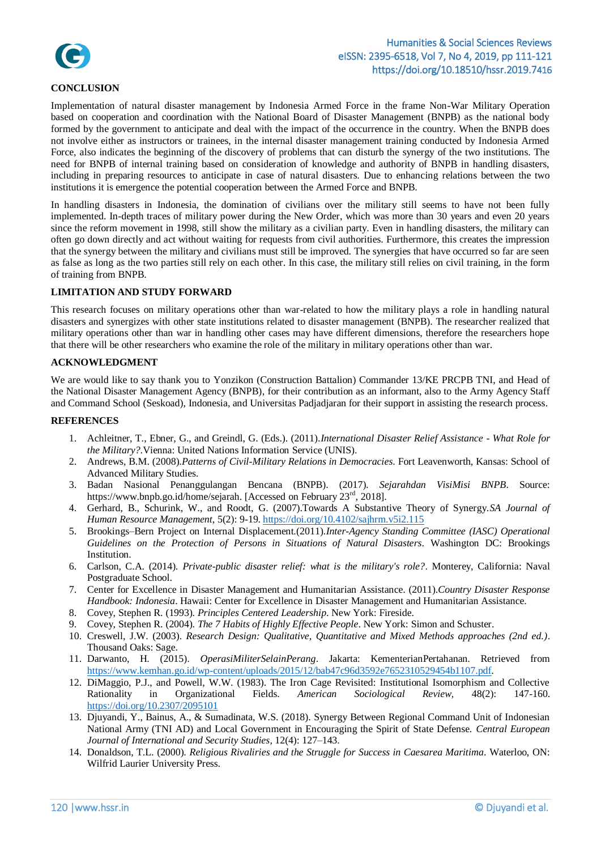

### **CONCLUSION**

Implementation of natural disaster management by Indonesia Armed Force in the frame Non-War Military Operation based on cooperation and coordination with the National Board of Disaster Management (BNPB) as the national body formed by the government to anticipate and deal with the impact of the occurrence in the country. When the BNPB does not involve either as instructors or trainees, in the internal disaster management training conducted by Indonesia Armed Force, also indicates the beginning of the discovery of problems that can disturb the synergy of the two institutions. The need for BNPB of internal training based on consideration of knowledge and authority of BNPB in handling disasters, including in preparing resources to anticipate in case of natural disasters. Due to enhancing relations between the two institutions it is emergence the potential cooperation between the Armed Force and BNPB.

In handling disasters in Indonesia, the domination of civilians over the military still seems to have not been fully implemented. In-depth traces of military power during the New Order, which was more than 30 years and even 20 years since the reform movement in 1998, still show the military as a civilian party. Even in handling disasters, the military can often go down directly and act without waiting for requests from civil authorities. Furthermore, this creates the impression that the synergy between the military and civilians must still be improved. The synergies that have occurred so far are seen as false as long as the two parties still rely on each other. In this case, the military still relies on civil training, in the form of training from BNPB.

### **LIMITATION AND STUDY FORWARD**

This research focuses on military operations other than war-related to how the military plays a role in handling natural disasters and synergizes with other state institutions related to disaster management (BNPB). The researcher realized that military operations other than war in handling other cases may have different dimensions, therefore the researchers hope that there will be other researchers who examine the role of the military in military operations other than war.

### **ACKNOWLEDGMENT**

We are would like to say thank you to Yonzikon (Construction Battalion) Commander 13/KE PRCPB TNI, and Head of the National Disaster Management Agency (BNPB), for their contribution as an informant, also to the Army Agency Staff and Command School (Seskoad), Indonesia, and Universitas Padjadjaran for their support in assisting the research process.

#### <span id="page-9-8"></span>**REFERENCES**

- 1. Achleitner, T., Ebner, G., and Greindl, G. (Eds.). (2011).*International Disaster Relief Assistance - What Role for the Military?*.Vienna: United Nations Information Service (UNIS).
- <span id="page-9-12"></span>2. Andrews, B.M. (2008).*Patterns of Civil-Military Relations in Democracies*. Fort Leavenworth, Kansas: School of Advanced Military Studies.
- <span id="page-9-1"></span>3. Badan Nasional Penanggulangan Bencana (BNPB). (2017). *Sejarahdan VisiMisi BNPB*. Source: https://www.bnpb.go.id/home/sejarah. [Accessed on February 23rd, 2018].
- <span id="page-9-11"></span>4. Gerhard, B., Schurink, W., and Roodt, G. (2007).Towards A Substantive Theory of Synergy.*SA Journal of Human Resource Management*, 5(2): 9-19. <https://doi.org/10.4102/sajhrm.v5i2.115>
- <span id="page-9-2"></span>5. Brookings–Bern Project on Internal Displacement.(2011).*Inter-Agency Standing Committee (IASC) Operational Guidelines on the Protection of Persons in Situations of Natural Disasters*. Washington DC: Brookings Institution.
- <span id="page-9-7"></span>6. Carlson, C.A. (2014). *Private-public disaster relief: what is the military's role?*. Monterey, California: Naval Postgraduate School.
- <span id="page-9-0"></span>7. Center for Excellence in Disaster Management and Humanitarian Assistance. (2011).*Country Disaster Response Handbook: Indonesia*. Hawaii: Center for Excellence in Disaster Management and Humanitarian Assistance.
- <span id="page-9-4"></span>8. Covey, Stephen R. (1993). *Principles Centered Leadership*. New York: Fireside.
- <span id="page-9-3"></span>9. Covey, Stephen R. (2004). *The 7 Habits of Highly Effective People*. New York: Simon and Schuster.
- 10. Creswell, J.W. (2003). *Research Design: Qualitative, Quantitative and Mixed Methods approaches (2nd ed.)*. Thousand Oaks: Sage.
- <span id="page-9-6"></span>11. Darwanto, H. (2015). *OperasiMiliterSelainPerang*. Jakarta: KementerianPertahanan. Retrieved from [https://www.kemhan.go.id/wp-content/uploads/2015/12/bab47c96d3592e7652310529454b1107.pdf.](https://www.kemhan.go.id/wp-content/uploads/2015/12/bab47c96d3592e7652310529454b1107.pdf)
- <span id="page-9-10"></span>12. DiMaggio, P.J., and Powell, W.W. (1983). The Iron Cage Revisited: Institutional Isomorphism and Collective Rationality in Organizational Fields. *American Sociological Review*, 48(2): 147-160. <https://doi.org/10.2307/2095101>
- <span id="page-9-5"></span>13. Djuyandi, Y., Bainus, A., & Sumadinata, W.S. (2018). Synergy Between Regional Command Unit of Indonesian National Army (TNI AD) and Local Government in Encouraging the Spirit of State Defense. *Central European Journal of International and Security Studies*, 12(4): 127–143.
- <span id="page-9-9"></span>14. Donaldson, T.L. (2000). *Religious Rivaliries and the Struggle for Success in Caesarea Maritima*. Waterloo, ON: Wilfrid Laurier University Press.